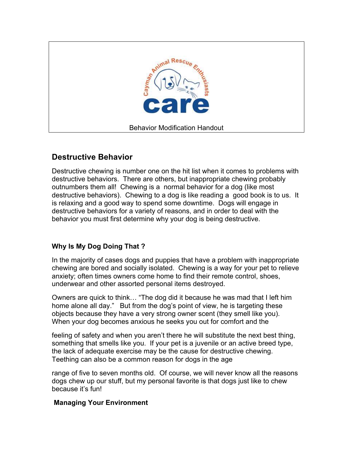

## **Destructive Behavior**

Destructive chewing is number one on the hit list when it comes to problems with destructive behaviors. There are others, but inappropriate chewing probably outnumbers them all! Chewing is a normal behavior for a dog (like most destructive behaviors). Chewing to a dog is like reading a good book is to us. It is relaxing and a good way to spend some downtime. Dogs will engage in destructive behaviors for a variety of reasons, and in order to deal with the behavior you must first determine why your dog is being destructive.

## **Why Is My Dog Doing That ?**

In the majority of cases dogs and puppies that have a problem with inappropriate chewing are bored and socially isolated. Chewing is a way for your pet to relieve anxiety; often times owners come home to find their remote control, shoes, underwear and other assorted personal items destroyed.

Owners are quick to think… "The dog did it because he was mad that I left him home alone all day." But from the dog's point of view, he is targeting these objects because they have a very strong owner scent (they smell like you). When your dog becomes anxious he seeks you out for comfort and the

feeling of safety and when you aren't there he will substitute the next best thing, something that smells like you. If your pet is a juvenile or an active breed type, the lack of adequate exercise may be the cause for destructive chewing. Teething can also be a common reason for dogs in the age

range of five to seven months old. Of course, we will never know all the reasons dogs chew up our stuff, but my personal favorite is that dogs just like to chew because it's fun!

## **Managing Your Environment**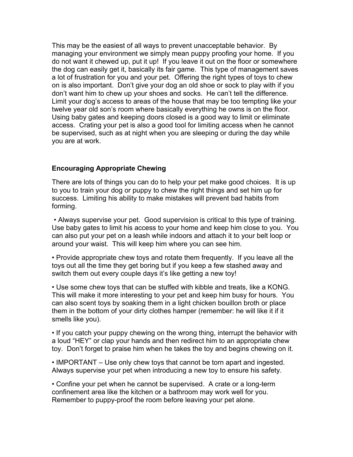This may be the easiest of all ways to prevent unacceptable behavior. By managing your environment we simply mean puppy proofing your home. If you do not want it chewed up, put it up! If you leave it out on the floor or somewhere the dog can easily get it, basically its fair game. This type of management saves a lot of frustration for you and your pet. Offering the right types of toys to chew on is also important. Don't give your dog an old shoe or sock to play with if you don't want him to chew up your shoes and socks. He can't tell the difference. Limit your dog's access to areas of the house that may be too tempting like your twelve year old son's room where basically everything he owns is on the floor. Using baby gates and keeping doors closed is a good way to limit or eliminate access. Crating your pet is also a good tool for limiting access when he cannot be supervised, such as at night when you are sleeping or during the day while you are at work.

## **Encouraging Appropriate Chewing**

There are lots of things you can do to help your pet make good choices. It is up to you to train your dog or puppy to chew the right things and set him up for success. Limiting his ability to make mistakes will prevent bad habits from forming.

 • Always supervise your pet. Good supervision is critical to this type of training. Use baby gates to limit his access to your home and keep him close to you. You can also put your pet on a leash while indoors and attach it to your belt loop or around your waist. This will keep him where you can see him.

• Provide appropriate chew toys and rotate them frequently. If you leave all the toys out all the time they get boring but if you keep a few stashed away and switch them out every couple days it's like getting a new toy!

• Use some chew toys that can be stuffed with kibble and treats, like a KONG. This will make it more interesting to your pet and keep him busy for hours. You can also scent toys by soaking them in a light chicken bouillon broth or place them in the bottom of your dirty clothes hamper (remember: he will like it if it smells like you).

• If you catch your puppy chewing on the wrong thing, interrupt the behavior with a loud "HEY" or clap your hands and then redirect him to an appropriate chew toy. Don't forget to praise him when he takes the toy and begins chewing on it.

• IMPORTANT – Use only chew toys that cannot be torn apart and ingested. Always supervise your pet when introducing a new toy to ensure his safety.

• Confine your pet when he cannot be supervised. A crate or a long-term confinement area like the kitchen or a bathroom may work well for you. Remember to puppy-proof the room before leaving your pet alone.